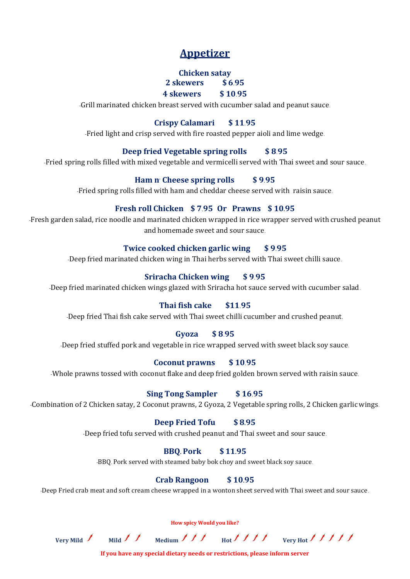# **Appetizer**

# **Chicken satay**

### **2 skewers \$ 6.95 4 skewers \$ 10.95**

-Grill marinated chicken breast served with cucumber salad and peanut sauce.

# **Crispy Calamari \$ 11.95**

-Fried light and crisp served with fire roasted pepper aioli and lime wedge.

# **Deep fried Vegetable spring rolls \$ 8.95**

-Fried spring rolls filled with mixed vegetable and vermicelli served with Thai sweet and sour sauce.

## **Ham n' Cheese spring rolls \$ 9.95**

-Fried spring rolls filled with ham and cheddar cheese served with raisin sauce.

# **Fresh roll Chicken \$ 7.95 Or Prawns \$ 10.95**

-Fresh garden salad, rice noodle and marinated chicken wrapped in rice wrapper served with crushed peanut and homemade sweet and sour sauce.

## **Twice cooked chicken garlic wing \$ 9.95**

-Deep fried marinated chicken wing in Thai herbs served with Thai sweet chilli sauce.

# **Sriracha Chicken wing \$ 9.95**

-Deep fried marinated chicken wings glazed with Sriracha hot sauce served with cucumber salad.

# **Thai fish cake \$11.95**

-Deep fried Thai fish cake served with Thai sweet chilli cucumber and crushed peanut.

#### **Gyoza \$ 8.95**

-Deep fried stuffed pork and vegetable in rice wrapped served with sweet black soy sauce.

#### **Coconut prawns \$ 10.95**

-Whole prawns tossed with coconut flake and deep fried golden brown served with raisin sauce.

#### **Sing Tong Sampler \$ 16.95**

-Combination of 2 Chicken satay, 2 Coconut prawns, 2 Gyoza, 2 Vegetable spring rolls, 2 Chicken garlic wings.

#### **Deep Fried Tofu \$ 8.95**

-Deep fried tofu served with crushed peanut and Thai sweet and sour sauce.

#### **BBQ. Pork \$ 11.95**

-BBQ. Pork served with steamed baby bok choy and sweet black soy sauce.

# **Crab Rangoon \$ 10.95**

-Deep Fried crab meat and soft cream cheese wrapped in a wonton sheet served with Thai sweet and sour sauce.

**How spicy Would you like?**

Very Mild  $\frac{1}{\sqrt{1-\frac{1}{\sqrt{1-\frac{1}{\sqrt{1-\frac{1}{\sqrt{1-\frac{1}{\sqrt{1-\frac{1}{\sqrt{1-\frac{1}{\sqrt{1-\frac{1}{\sqrt{1-\frac{1}{\sqrt{1-\frac{1}{\sqrt{1-\frac{1}{\sqrt{1-\frac{1}{\sqrt{1-\frac{1}{\sqrt{1-\frac{1}{\sqrt{1-\frac{1}{\sqrt{1-\frac{1}{\sqrt{1-\frac{1}{\sqrt{1-\frac{1}{\sqrt{1-\frac{1}{\sqrt{1-\frac{1}{\sqrt{1-\frac{1}{\sqrt{1-\frac{1}{\sqrt{1-\frac{1}{\sqrt{1-\frac{$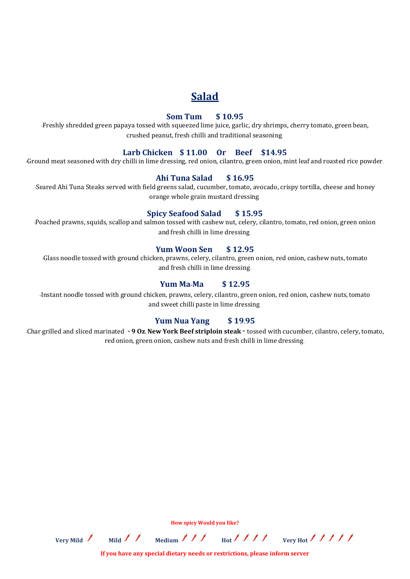# **Salad**

#### **Som Tum \$ 10.95**

-Freshly shredded green papaya tossed with squeezed lime juice, garlic, dry shrimps, cherry tomato, green bean, crushed peanut, fresh chilli and traditional seasoning.

#### **Larb Chicken \$ 11.00 Or Beef \$14.95**

**-**Ground meat seasoned with dry chilli in lime dressing, red onion, cilantro, green onion, mint leaf and roasted rice powder.

## **Ahi Tuna Salad \$ 16.95**

-Seared Ahi Tuna Steaks served with field greens salad, cucumber, tomato, avocado, crispy tortilla, cheese and honey orange whole grain mustard dressing.

#### **Spicy Seafood Salad \$ 15.95**

-Poached prawns, squids, scallop and salmon tossed with cashew nut, celery, cilantro, tomato, red onion, green onion and fresh chilli in lime dressing.

#### **Yum Woon Sen \$ 12.95**

-Glass noodle tossed with ground chicken, prawns, celery, cilantro, green onion, red onion, cashew nuts, tomato and fresh chilli in lime dressing.

#### **Yum Ma-Ma \$ 12.95**

-Instant noodle tossed with ground chicken, prawns, celery, cilantro, green onion, red onion, cashew nuts, tomato and sweet chilli paste in lime dressing.

#### **Yum Nua Yang \$ 19.95**

-Char-grilled and sliced marinated **" 9 Oz. New York Beef striploin steak "** tossed with cucumber, cilantro, celery, tomato, red onion, green onion, cashew nuts and fresh chilli in lime dressing.

Very Mild / Mild / / Medium / / / Hot<sup>1</sup> / / / very Hot<sup>1</sup> / / / /

**If you have any special dietary needs or restrictions, please inform server**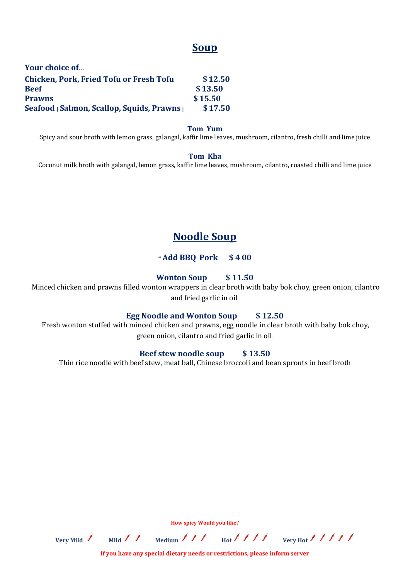# **Soup**

| Your choice of                                 |         |
|------------------------------------------------|---------|
| <b>Chicken, Pork, Fried Tofu or Fresh Tofu</b> | \$12.50 |
| <b>Beef</b>                                    | \$13.50 |
| <b>Prawns</b>                                  | \$15.50 |
| Seafood [Salmon, Scallop, Squids, Prawns]      | \$17.50 |

#### **Tom Yum**

-Spicy and sour broth with lemon grass, galangal, kaffir lime leaves, mushroom, cilantro, fresh chilli and lime juice.

#### **Tom Kha**

-Coconut milk broth with galangal, lemon grass, kaffir lime leaves, mushroom, cilantro, roasted chilli and lime juice.

# **Noodle Soup**

#### **" Add BBQ. Pork \$ 4.00**

#### **Wonton Soup \$ 11.50**

-Minced chicken and prawns filled wonton wrappers in clear broth with baby bok-choy, green onion, cilantro and fried garlic in oil.

#### **Egg Noodle and Wonton Soup \$ 12.50**

-Fresh wonton stuffed with minced chicken and prawns, egg noodle in clear broth with baby bok-choy, green onion, cilantro and fried garlic in oil.

#### **Beef stew noodle soup \$ 13.50**

-Thin rice noodle with beef stew, meat ball, Chinese broccoli and bean sprouts in beef broth.

**How spicy Would you like?**

Very Mild  $\frac{1}{\sqrt{1-\frac{1}{\sqrt{1-\frac{1}{\sqrt{1-\frac{1}{\sqrt{1-\frac{1}{\sqrt{1-\frac{1}{\sqrt{1-\frac{1}{\sqrt{1-\frac{1}{\sqrt{1-\frac{1}{\sqrt{1-\frac{1}{\sqrt{1-\frac{1}{\sqrt{1-\frac{1}{\sqrt{1-\frac{1}{\sqrt{1-\frac{1}{\sqrt{1-\frac{1}{\sqrt{1-\frac{1}{\sqrt{1-\frac{1}{\sqrt{1-\frac{1}{\sqrt{1-\frac{1}{\sqrt{1-\frac{1}{\sqrt{1-\frac{1}{\sqrt{1-\frac{1}{\sqrt{1-\frac{1}{\sqrt{1-\frac{$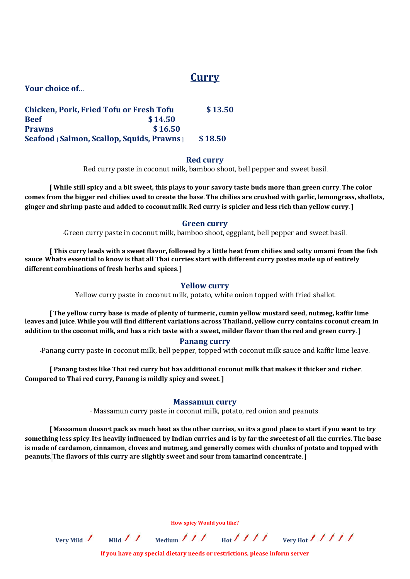# **Curry**

**Your choice of…**

| <b>Chicken, Pork, Fried Tofu or Fresh Tofu</b> |         | \$13.50 |
|------------------------------------------------|---------|---------|
| <b>Reef</b>                                    | \$14.50 |         |
| <b>Prawns</b>                                  | \$16.50 |         |
| Seafood [Salmon, Scallop, Squids, Prawns]      |         | \$18.50 |

#### **Red curry**

-Red curry paste in coconut milk, bamboo shoot, bell pepper and sweet basil.

**[ While still spicy and a bit sweet, this plays to your savory taste buds more than green curry. The color comes from the bigger red chilies used to create the base. The chilies are crushed with garlic, lemongrass, shallots, ginger and shrimp paste and added to coconut milk. Red curry is spicier and less rich than yellow curry.]**

#### **Green curry**

-Green curry paste in coconut milk, bamboo shoot, eggplant, bell pepper and sweet basil.

**[ This curry leads with a sweet flavor, followed by a little heat from chilies and salty umami from the fish sauce. What's essential to know is that all Thai curries start with different curry pastes made up of entirely different combinations of fresh herbs and spices. ]**

#### **Yellow curry**

-Yellow curry paste in coconut milk, potato, white onion topped with fried shallot.

**[ The yellow curry base is made of plenty of turmeric, cumin yellow mustard seed, nutmeg, kaffir lime leaves and juice. While you will find different variations across Thailand, yellow curry contains coconut cream in addition to the coconut milk, and has a rich taste with a sweet, milder flavor than the red and green curry.]**

#### **Panang curry**

-Panang curry paste in coconut milk, bell pepper, topped with coconut milk sauce and kaffir lime leave.

**[ Panang tastes like Thai red curry but has additional coconut milk that makes it thicker and richer. Compared to Thai red curry, Panang is mildly spicy and sweet. ]**

#### **Massamun curry**

- Massamun curry paste in coconut milk, potato, red onion and peanuts.

**[ Massamun doesn't pack as much heat as the other curries, so it's a good place to start if you want to try something less spicy. It's heavily influenced by Indian curries and is by far the sweetest of all the curries. The base is made of cardamon, cinnamon, cloves and nutmeg, and generally comes with chunks of potato and topped with peanuts. The flavors of this curry are slightly sweet and sour from tamarind concentrate.]**

Very Mild  $\int$  Mild  $\int$  Medium  $\int$   $\int$   $\int$  Hot<sup> $\int$ </sup>  $\int$   $\int$   $\int$  very Hot<sup> $\int$ </sup>  $\int$   $\int$   $\int$ 

**If you have any special dietary needs or restrictions, please inform server**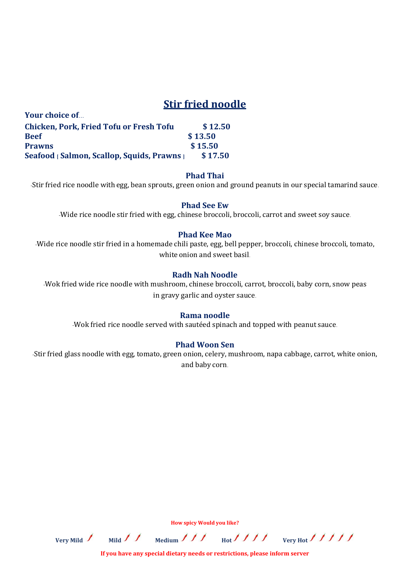# **Stir fried noodle**

| TOME CHOICE OF                                 |         |
|------------------------------------------------|---------|
| <b>Chicken, Pork, Fried Tofu or Fresh Tofu</b> | \$12.50 |
| Beef                                           | \$13.50 |
| <b>Prawns</b>                                  | \$15.50 |
| Seafood   Salmon, Scallop, Squids, Prawns      | \$17.50 |

**Your choice of…**

#### **Phad Thai**

-Stir fried rice noodle with egg, bean sprouts, green onion and ground peanuts in our special tamarind sauce.

#### **Phad See Ew**

-Wide rice noodle stir fried with egg, chinese broccoli, broccoli, carrot and sweet soy sauce.

#### **Phad Kee Mao**

-Wide rice noodle stir fried in a homemade chili paste, egg, bell pepper, broccoli, chinese broccoli, tomato, white onion and sweet basil.

#### **Radh Nah Noodle**

-Wok fried wide rice noodle with mushroom, chinese broccoli, carrot, broccoli, baby corn, snow peas in gravy garlic and oyster sauce.

#### **Rama noodle**

-Wok fried rice noodle served with sautéed spinach and topped with peanut sauce.

#### **Phad Woon Sen**

-Stir fried glass noodle with egg, tomato, green onion, celery, mushroom, napa cabbage, carrot, white onion, and baby corn.

Very Mild / Mild / / Medium / / / Hot<sup>1</sup> / / / very Hot<sup>1</sup> / / / /

**If you have any special dietary needs or restrictions, please inform server**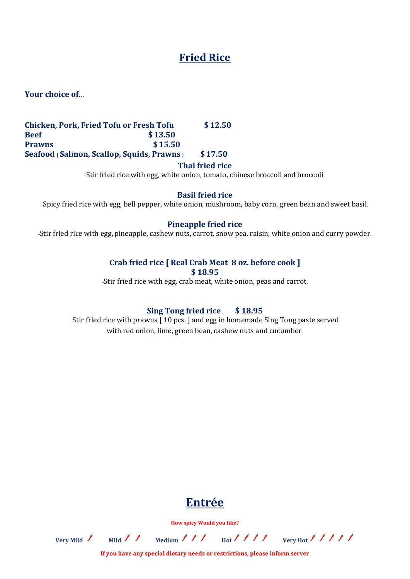# **Fried Rice**

**Your choice of…**

## **Chicken, Pork, Fried Tofu or Fresh Tofu \$ 12.50 Beef \$ 13.50 Prawns \$ 15.50 Seafood [ Salmon, Scallop, Squids, Prawns ] \$ 17.50**

#### **Thai fried rice**

-Stir fried rice with egg, white onion, tomato, chinese broccoli and broccoli.

#### **Basil fried rice**

-Spicy fried rice with egg, bell pepper, white onion, mushroom, baby corn, green bean and sweet basil.

#### **Pineapple fried rice**

-Stir fried rice with egg, pineapple, cashew nuts, carrot, snow pea, raisin, white onion and curry powder.

#### **Crab fried rice [ Real Crab Meat 8 oz. before cook ]**

**\$ 18.95**

-Stir fried rice with egg, crab meat, white onion, peas and carrot.

### **Sing Tong fried rice \$ 18.95**

-Stir fried rice with prawns [ 10 pcs. ] and egg in homemade Sing Tong paste served with red onion, lime, green bean, cashew nuts and cucumber.

# **Entrée**

**How spicy Would you like?**

Very Mild / Mild / / Medium / / / Hot<sup>1</sup> / / / verv Hot<sup>1</sup> / / / /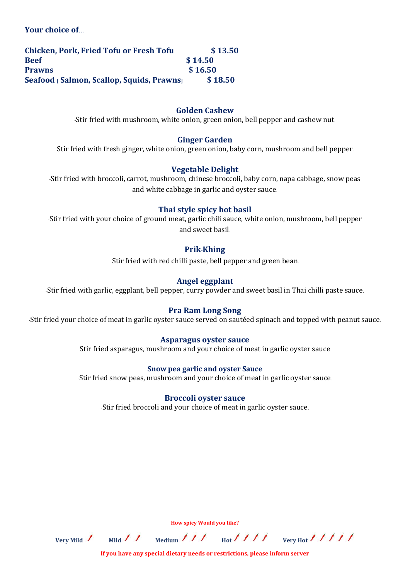**Your choice of…**

| <b>Chicken, Pork, Fried Tofu or Fresh Tofu</b> | \$13.50 |
|------------------------------------------------|---------|
| <b>Beef</b>                                    | \$14.50 |
| <b>Prawns</b>                                  | \$16.50 |
| Seafood   Salmon, Scallop, Squids, Prawns      | \$18.50 |

#### **Golden Cashew**

-Stir fried with mushroom, white onion, green onion, bell pepper and cashew nut.

#### **Ginger Garden**

-Stir fried with fresh ginger, white onion, green onion, baby corn, mushroom and bell pepper.

#### **Vegetable Delight**

-Stir fried with broccoli, carrot, mushroom, chinese broccoli, baby corn, napa cabbage, snow peas and white cabbage in garlic and oyster sauce.

#### **Thai style spicy hot basil**

-Stir fried with your choice of ground meat, garlic chili sauce, white onion, mushroom, bell pepper and sweet basil.

#### **Prik**-**Khing**

-Stir fried with red chilli paste, bell pepper and green bean.

#### **Angel eggplant**

-Stir fried with garlic, eggplant, bell pepper, curry powder and sweet basil in Thai chilli paste sauce.

#### **Pra Ram Long Song**

-Stir fried your choice of meat in garlic oyster sauce served on sautéed spinach and topped with peanut sauce.

#### **Asparagus oyster sauce**

-Stir fried asparagus, mushroom and your choice of meat in garlic oyster sauce.

#### **Snow pea garlic and oyster Sauce**

-Stir fried snow peas, mushroom and your choice of meat in garlic oyster sauce.

#### **Broccoli oyster sauce**

-Stir fried broccoli and your choice of meat in garlic oyster sauce.

**How spicy Would you like?**

Very Mild / Mild / / Medium / / / Hot<sup>1</sup> / / / verv Hot / / / / /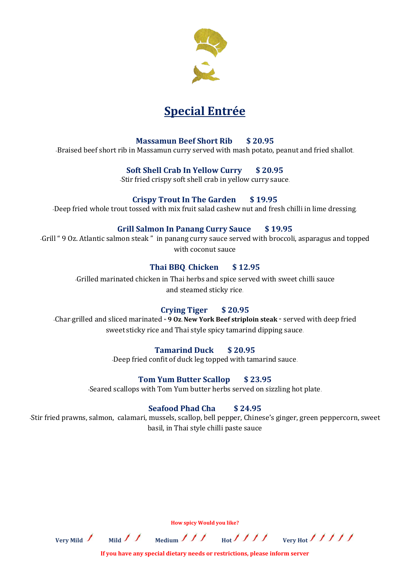

# **Special Entrée**

# **Massamun Beef Short Rib \$ 20.95**

-Braised beef short rib in Massamun curry served with mash potato, peanut and fried shallot.

# **Soft Shell Crab In Yellow Curry \$ 20.95**

-Stir fried crispy soft shell crab in yellow curry sauce.

# **Crispy Trout In The Garden \$ 19.95**

-Deep fried whole trout tossed with mix fruit salad cashew nut and fresh chilli in lime dressing.

# **Grill Salmon In Panang Curry Sauce \$ 19.95**

-Grill " 9 Oz. Atlantic salmon steak " in panang curry sauce served with broccoli, asparagus and topped with coconut sauce

# **Thai BBQ**. **Chicken \$ 12.95**

-Grilled marinated chicken in Thai herbs and spice served with sweet chilli sauce and steamed sticky rice.

# **Crying Tiger \$ 20.95**

-Char-grilled and sliced marinated **" 9 Oz. New York Beef striploin steak "** served with deep fried sweet sticky rice and Thai style spicy tamarind dipping sauce.

# **Tamarind Duck \$ 20.95**

-Deep fried confit of duck leg topped with tamarind sauce.

# **Tom Yum Butter Scallop \$ 23.95**

-Seared scallops with Tom Yum butter herbs served on sizzling hot plate.

# **Seafood Phad Cha \$ 24.95**

-Stir fried prawns, salmon, calamari, mussels, scallop, bell pepper, Chinese's ginger, green peppercorn, sweet basil, in Thai style chilli paste sauce

Very Mild  $\frac{1}{\sqrt{1-\frac{1}{\sqrt{1-\frac{1}{\sqrt{1-\frac{1}{\sqrt{1-\frac{1}{\sqrt{1-\frac{1}{\sqrt{1-\frac{1}{\sqrt{1-\frac{1}{\sqrt{1-\frac{1}{\sqrt{1-\frac{1}{\sqrt{1-\frac{1}{\sqrt{1-\frac{1}{\sqrt{1-\frac{1}{\sqrt{1-\frac{1}{\sqrt{1-\frac{1}{\sqrt{1-\frac{1}{\sqrt{1-\frac{1}{\sqrt{1-\frac{1}{\sqrt{1-\frac{1}{\sqrt{1-\frac{1}{\sqrt{1-\frac{1}{\sqrt{1-\frac{1}{\sqrt{1-\frac{1}{\sqrt{1-\frac{$ 

**If you have any special dietary needs or restrictions, please inform server**